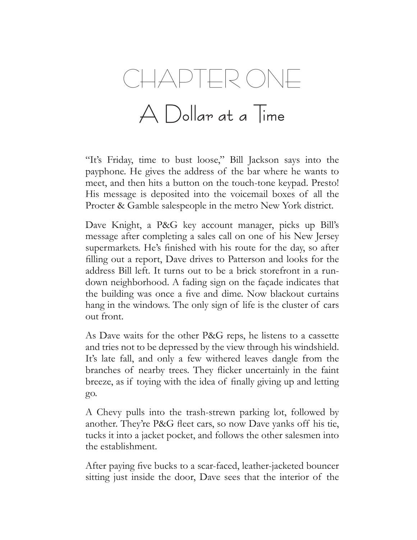CHAPTER ONE **A Dollar at a Time**

"It's Friday, time to bust loose," Bill Jackson says into the payphone. He gives the address of the bar where he wants to meet, and then hits a button on the touch-tone keypad. Presto! His message is deposited into the voicemail boxes of all the Procter & Gamble salespeople in the metro New York district.

Dave Knight, a P&G key account manager, picks up Bill's message after completing a sales call on one of his New Jersey supermarkets. He's fnished with his route for the day, so after flling out a report, Dave drives to Patterson and looks for the address Bill left. It turns out to be a brick storefront in a rundown neighborhood. A fading sign on the façade indicates that the building was once a fve and dime. Now blackout curtains hang in the windows. The only sign of life is the cluster of cars out front.

As Dave waits for the other P&G reps, he listens to a cassette and tries not to be depressed by the view through his windshield. It's late fall, and only a few withered leaves dangle from the branches of nearby trees. They ficker uncertainly in the faint breeze, as if toying with the idea of fnally giving up and letting go.

A Chevy pulls into the trash-strewn parking lot, followed by another. They're P&G feet cars, so now Dave yanks off his tie, tucks it into a jacket pocket, and follows the other salesmen into the establishment.

After paying fve bucks to a scar-faced, leather-jacketed bouncer sitting just inside the door, Dave sees that the interior of the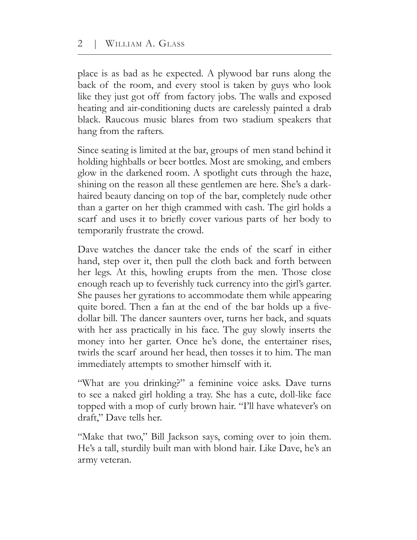place is as bad as he expected. A plywood bar runs along the back of the room, and every stool is taken by guys who look like they just got off from factory jobs. The walls and exposed heating and air-conditioning ducts are carelessly painted a drab black. Raucous music blares from two stadium speakers that hang from the rafters.

Since seating is limited at the bar, groups of men stand behind it holding highballs or beer bottles. Most are smoking, and embers glow in the darkened room. A spotlight cuts through the haze, shining on the reason all these gentlemen are here. She's a darkhaired beauty dancing on top of the bar, completely nude other than a garter on her thigh crammed with cash. The girl holds a scarf and uses it to briefy cover various parts of her body to temporarily frustrate the crowd.

Dave watches the dancer take the ends of the scarf in either hand, step over it, then pull the cloth back and forth between her legs. At this, howling erupts from the men. Those close enough reach up to feverishly tuck currency into the girl's garter. She pauses her gyrations to accommodate them while appearing quite bored. Then a fan at the end of the bar holds up a fvedollar bill. The dancer saunters over, turns her back, and squats with her ass practically in his face. The guy slowly inserts the money into her garter. Once he's done, the entertainer rises, twirls the scarf around her head, then tosses it to him. The man immediately attempts to smother himself with it.

"What are you drinking?" a feminine voice asks. Dave turns to see a naked girl holding a tray. She has a cute, doll-like face topped with a mop of curly brown hair. "I'll have whatever's on draft," Dave tells her.

"Make that two," Bill Jackson says, coming over to join them. He's a tall, sturdily built man with blond hair. Like Dave, he's an army veteran.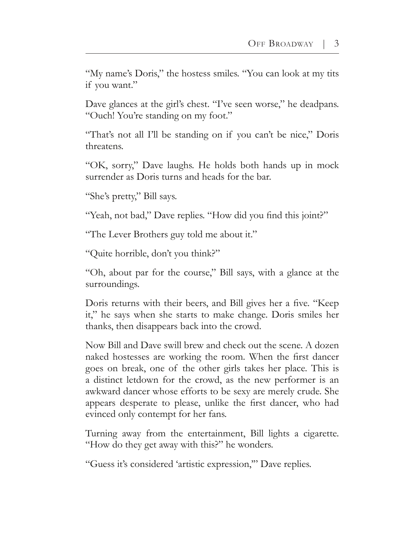"My name's Doris," the hostess smiles. "You can look at my tits if you want."

Dave glances at the girl's chest. "I've seen worse," he deadpans. "Ouch! You're standing on my foot."

"That's not all I'll be standing on if you can't be nice," Doris threatens.

"OK, sorry," Dave laughs. He holds both hands up in mock surrender as Doris turns and heads for the bar.

"She's pretty," Bill says.

"Yeah, not bad," Dave replies. "How did you find this joint?"

"The Lever Brothers guy told me about it."

"Quite horrible, don't you think?"

"Oh, about par for the course," Bill says, with a glance at the surroundings.

Doris returns with their beers, and Bill gives her a five. "Keep it," he says when she starts to make change. Doris smiles her thanks, then disappears back into the crowd.

Now Bill and Dave swill brew and check out the scene. A dozen naked hostesses are working the room. When the frst dancer goes on break, one of the other girls takes her place. This is a distinct letdown for the crowd, as the new performer is an awkward dancer whose efforts to be sexy are merely crude. She appears desperate to please, unlike the frst dancer, who had evinced only contempt for her fans.

Turning away from the entertainment, Bill lights a cigarette. "How do they get away with this?" he wonders.

"Guess it's considered 'artistic expression,'" Dave replies.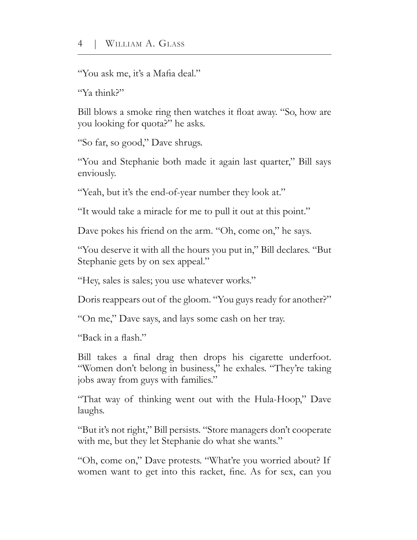"You ask me, it's a Mafa deal."

"Ya think?"

Bill blows a smoke ring then watches it foat away. "So, how are you looking for quota?" he asks.

"So far, so good," Dave shrugs.

"You and Stephanie both made it again last quarter," Bill says enviously.

"Yeah, but it's the end-of-year number they look at."

"It would take a miracle for me to pull it out at this point."

Dave pokes his friend on the arm. "Oh, come on," he says.

"You deserve it with all the hours you put in," Bill declares. "But Stephanie gets by on sex appeal."

"Hey, sales is sales; you use whatever works."

Doris reappears out of the gloom. "You guys ready for another?"

"On me," Dave says, and lays some cash on her tray.

"Back in a fash."

Bill takes a fnal drag then drops his cigarette underfoot. "Women don't belong in business," he exhales. "They're taking jobs away from guys with families."

"That way of thinking went out with the Hula-Hoop," Dave laughs.

"But it's not right," Bill persists. "Store managers don't cooperate with me, but they let Stephanie do what she wants."

"Oh, come on," Dave protests. "What're you worried about? If women want to get into this racket, fne. As for sex, can you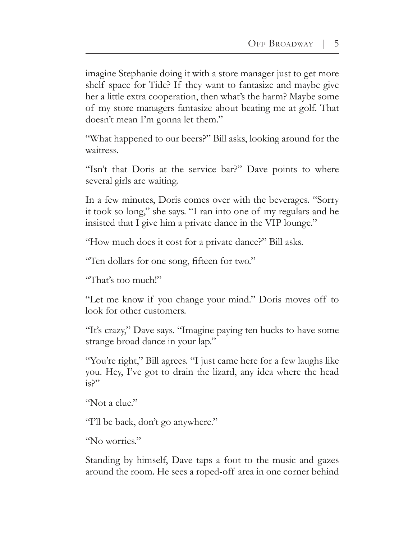imagine Stephanie doing it with a store manager just to get more shelf space for Tide? If they want to fantasize and maybe give her a little extra cooperation, then what's the harm? Maybe some of my store managers fantasize about beating me at golf. That doesn't mean I'm gonna let them."

"What happened to our beers?" Bill asks, looking around for the waitress.

"Isn't that Doris at the service bar?" Dave points to where several girls are waiting.

In a few minutes, Doris comes over with the beverages. "Sorry it took so long," she says. "I ran into one of my regulars and he insisted that I give him a private dance in the VIP lounge."

"How much does it cost for a private dance?" Bill asks.

"Ten dollars for one song, ffteen for two."

"That's too much!"

"Let me know if you change your mind." Doris moves off to look for other customers.

"It's crazy," Dave says. "Imagine paying ten bucks to have some strange broad dance in your lap."

"You're right," Bill agrees. "I just came here for a few laughs like you. Hey, I've got to drain the lizard, any idea where the head  $is?$ 

"Not a clue."

"I'll be back, don't go anywhere."

"No worries."

Standing by himself, Dave taps a foot to the music and gazes around the room. He sees a roped-off area in one corner behind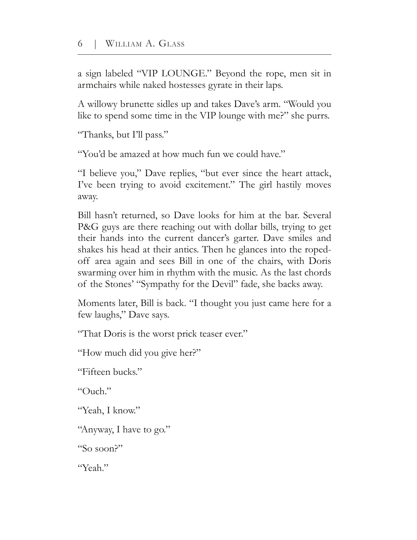a sign labeled "VIP LOUNGE." Beyond the rope, men sit in armchairs while naked hostesses gyrate in their laps.

A willowy brunette sidles up and takes Dave's arm. "Would you like to spend some time in the VIP lounge with me?" she purrs.

"Thanks, but I'll pass."

"You'd be amazed at how much fun we could have."

"I believe you," Dave replies, "but ever since the heart attack, I've been trying to avoid excitement." The girl hastily moves away.

Bill hasn't returned, so Dave looks for him at the bar. Several P&G guys are there reaching out with dollar bills, trying to get their hands into the current dancer's garter. Dave smiles and shakes his head at their antics. Then he glances into the ropedoff area again and sees Bill in one of the chairs, with Doris swarming over him in rhythm with the music. As the last chords of the Stones' "Sympathy for the Devil" fade, she backs away.

Moments later, Bill is back. "I thought you just came here for a few laughs," Dave says.

"That Doris is the worst prick teaser ever."

"How much did you give her?"

"Fifteen bucks."

"Ouch."

"Yeah, I know."

"Anyway, I have to go."

"So soon?"

"Yeah."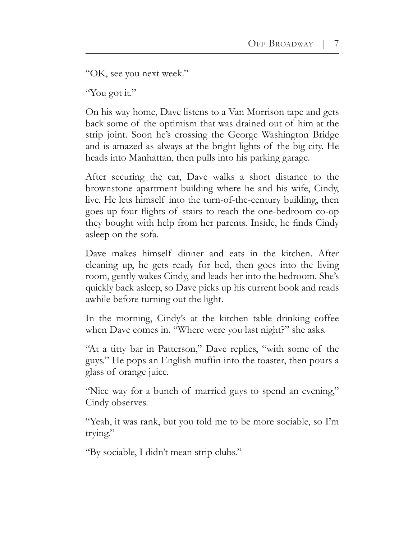"OK, see you next week."

"You got it."

On his way home, Dave listens to a Van Morrison tape and gets back some of the optimism that was drained out of him at the strip joint. Soon he's crossing the George Washington Bridge and is amazed as always at the bright lights of the big city. He heads into Manhattan, then pulls into his parking garage.

After securing the car, Dave walks a short distance to the brownstone apartment building where he and his wife, Cindy, live. He lets himself into the turn-of-the-century building, then goes up four fights of stairs to reach the one-bedroom co-op they bought with help from her parents. Inside, he fnds Cindy asleep on the sofa.

Dave makes himself dinner and eats in the kitchen. After cleaning up, he gets ready for bed, then goes into the living room, gently wakes Cindy, and leads her into the bedroom. She's quickly back asleep, so Dave picks up his current book and reads awhile before turning out the light.

In the morning, Cindy's at the kitchen table drinking coffee when Dave comes in. "Where were you last night?" she asks.

"At a titty bar in Patterson," Dave replies, "with some of the guys." He pops an English muffn into the toaster, then pours a glass of orange juice.

"Nice way for a bunch of married guys to spend an evening," Cindy observes.

"Yeah, it was rank, but you told me to be more sociable, so I'm trying."

"By sociable, I didn't mean strip clubs."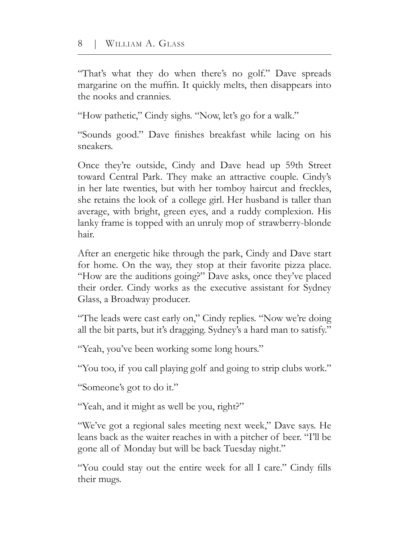"That's what they do when there's no golf." Dave spreads margarine on the muffn. It quickly melts, then disappears into the nooks and crannies.

"How pathetic," Cindy sighs. "Now, let's go for a walk."

"Sounds good." Dave fnishes breakfast while lacing on his sneakers.

Once they're outside, Cindy and Dave head up 59th Street toward Central Park. They make an attractive couple. Cindy's in her late twenties, but with her tomboy haircut and freckles, she retains the look of a college girl. Her husband is taller than average, with bright, green eyes, and a ruddy complexion. His lanky frame is topped with an unruly mop of strawberry-blonde hair.

After an energetic hike through the park, Cindy and Dave start for home. On the way, they stop at their favorite pizza place. "How are the auditions going?" Dave asks, once they've placed their order. Cindy works as the executive assistant for Sydney Glass, a Broadway producer.

"The leads were cast early on," Cindy replies. "Now we're doing all the bit parts, but it's dragging. Sydney's a hard man to satisfy."

"Yeah, you've been working some long hours."

"You too, if you call playing golf and going to strip clubs work."

"Someone's got to do it."

"Yeah, and it might as well be you, right?"

"We've got a regional sales meeting next week," Dave says. He leans back as the waiter reaches in with a pitcher of beer. "I'll be gone all of Monday but will be back Tuesday night."

"You could stay out the entire week for all I care." Cindy flls their mugs.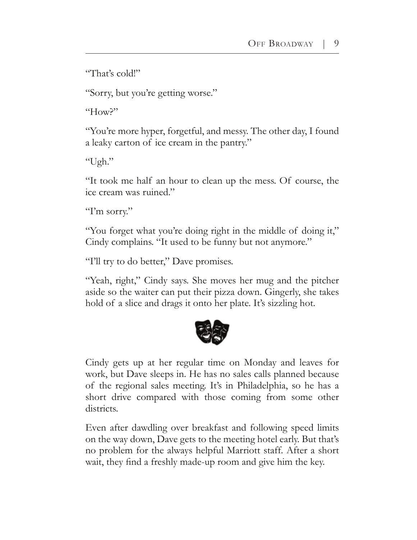"That's cold!"

"Sorry, but you're getting worse."

"How?"

"You're more hyper, forgetful, and messy. The other day, I found a leaky carton of ice cream in the pantry."

"Ugh."

"It took me half an hour to clean up the mess. Of course, the ice cream was ruined."

"I'm sorry."

"You forget what you're doing right in the middle of doing it," Cindy complains. "It used to be funny but not anymore."

"I'll try to do better," Dave promises.

"Yeah, right," Cindy says. She moves her mug and the pitcher aside so the waiter can put their pizza down. Gingerly, she takes hold of a slice and drags it onto her plate. It's sizzling hot.



Cindy gets up at her regular time on Monday and leaves for work, but Dave sleeps in. He has no sales calls planned because of the regional sales meeting. It's in Philadelphia, so he has a short drive compared with those coming from some other districts.

Even after dawdling over breakfast and following speed limits on the way down, Dave gets to the meeting hotel early. But that's no problem for the always helpful Marriott staff. After a short wait, they find a freshly made-up room and give him the key.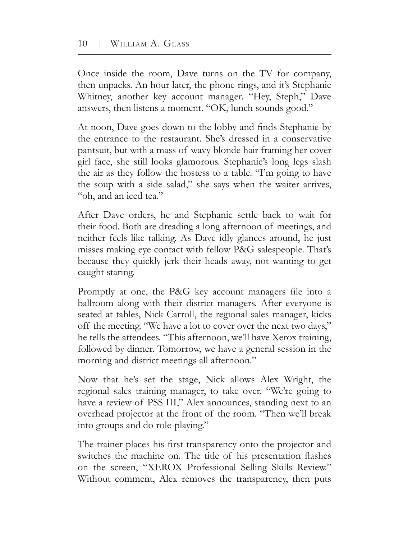Once inside the room, Dave turns on the TV for company, then unpacks. An hour later, the phone rings, and it's Stephanie Whitney, another key account manager. "Hey, Steph," Dave answers, then listens a moment. "OK, lunch sounds good."

At noon, Dave goes down to the lobby and fnds Stephanie by the entrance to the restaurant. She's dressed in a conservative pantsuit, but with a mass of wavy blonde hair framing her cover girl face, she still looks glamorous. Stephanie's long legs slash the air as they follow the hostess to a table. "I'm going to have the soup with a side salad," she says when the waiter arrives, "oh, and an iced tea."

After Dave orders, he and Stephanie settle back to wait for their food. Both are dreading a long afternoon of meetings, and neither feels like talking. As Dave idly glances around, he just misses making eye contact with fellow P&G salespeople. That's because they quickly jerk their heads away, not wanting to get caught staring.

Promptly at one, the P&G key account managers fle into a ballroom along with their district managers. After everyone is seated at tables, Nick Carroll, the regional sales manager, kicks off the meeting. "We have a lot to cover over the next two days," he tells the attendees. "This afternoon, we'll have Xerox training, followed by dinner. Tomorrow, we have a general session in the morning and district meetings all afternoon."

Now that he's set the stage, Nick allows Alex Wright, the regional sales training manager, to take over. "We're going to have a review of PSS III," Alex announces, standing next to an overhead projector at the front of the room. "Then we'll break into groups and do role-playing."

The trainer places his frst transparency onto the projector and switches the machine on. The title of his presentation fashes on the screen, "XEROX Professional Selling Skills Review." Without comment, Alex removes the transparency, then puts